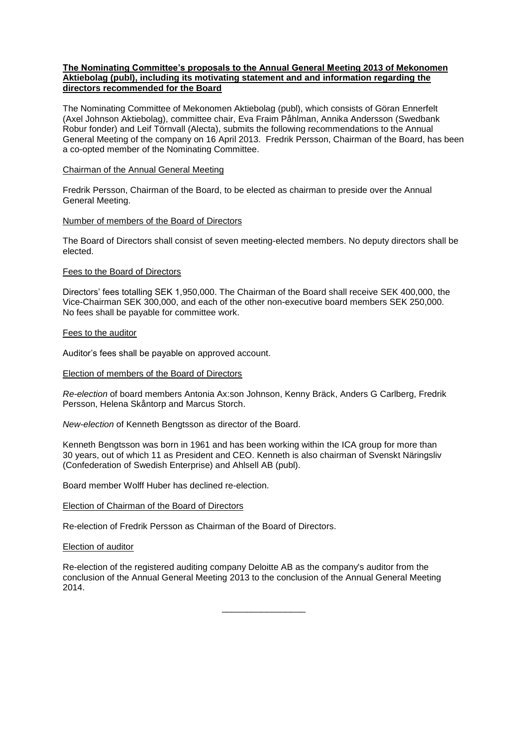# **The Nominating Committee's proposals to the Annual General Meeting 2013 of Mekonomen Aktiebolag (publ), including its motivating statement and and information regarding the directors recommended for the Board**

The Nominating Committee of Mekonomen Aktiebolag (publ), which consists of Göran Ennerfelt (Axel Johnson Aktiebolag), committee chair, Eva Fraim Påhlman, Annika Andersson (Swedbank Robur fonder) and Leif Törnvall (Alecta), submits the following recommendations to the Annual General Meeting of the company on 16 April 2013. Fredrik Persson, Chairman of the Board, has been a co-opted member of the Nominating Committee.

# Chairman of the Annual General Meeting

Fredrik Persson, Chairman of the Board, to be elected as chairman to preside over the Annual General Meeting.

#### Number of members of the Board of Directors

The Board of Directors shall consist of seven meeting-elected members. No deputy directors shall be elected.

#### Fees to the Board of Directors

Directors' fees totalling SEK 1,950,000. The Chairman of the Board shall receive SEK 400,000, the Vice-Chairman SEK 300,000, and each of the other non-executive board members SEK 250,000. No fees shall be payable for committee work.

# Fees to the auditor

Auditor's fees shall be payable on approved account.

#### Election of members of the Board of Directors

*Re-election* of board members Antonia Ax:son Johnson, Kenny Bräck, Anders G Carlberg, Fredrik Persson, Helena Skåntorp and Marcus Storch.

*New-election* of Kenneth Bengtsson as director of the Board.

Kenneth Bengtsson was born in 1961 and has been working within the ICA group for more than 30 years, out of which 11 as President and CEO. Kenneth is also chairman of Svenskt Näringsliv (Confederation of Swedish Enterprise) and Ahlsell AB (publ).

Board member Wolff Huber has declined re-election.

#### Election of Chairman of the Board of Directors

Re-election of Fredrik Persson as Chairman of the Board of Directors.

#### Election of auditor

Re-election of the registered auditing company Deloitte AB as the company's auditor from the conclusion of the Annual General Meeting 2013 to the conclusion of the Annual General Meeting 2014.

\_\_\_\_\_\_\_\_\_\_\_\_\_\_\_\_\_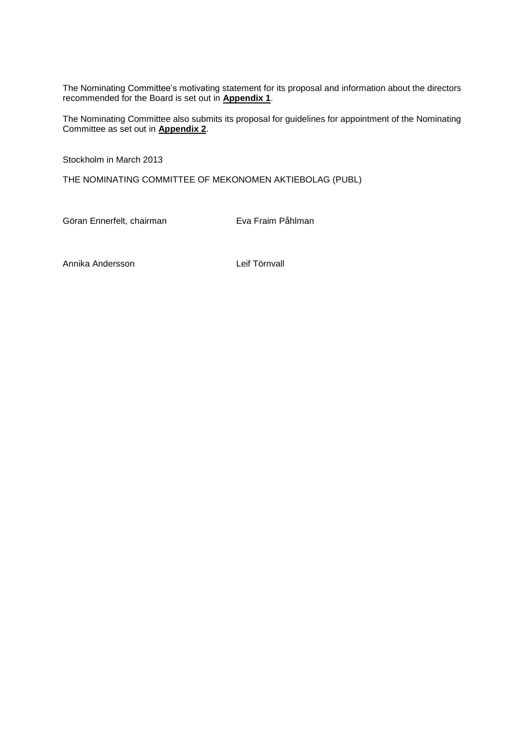The Nominating Committee's motivating statement for its proposal and information about the directors recommended for the Board is set out in **Appendix 1**.

The Nominating Committee also submits its proposal for guidelines for appointment of the Nominating Committee as set out in **Appendix 2**.

Stockholm in March 2013

THE NOMINATING COMMITTEE OF MEKONOMEN AKTIEBOLAG (PUBL)

Göran Ennerfelt, chairman Eva Fraim Påhlman

Annika Andersson Leif Törnvall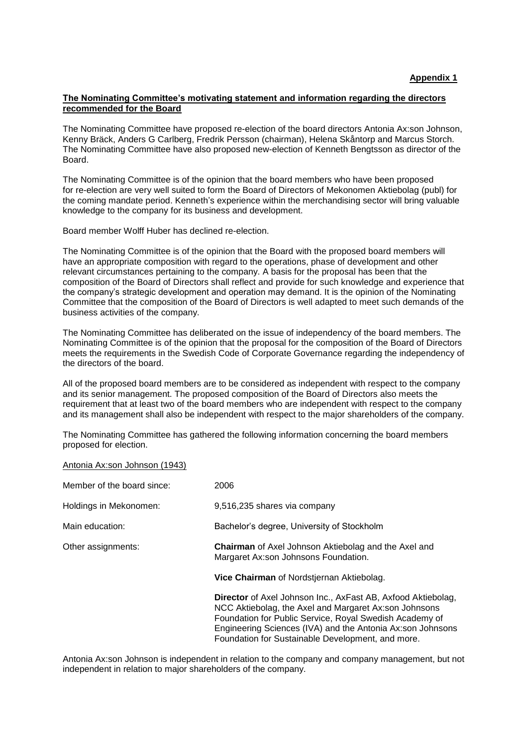# **The Nominating Committee's motivating statement and information regarding the directors recommended for the Board**

The Nominating Committee have proposed re-election of the board directors Antonia Ax:son Johnson, Kenny Bräck, Anders G Carlberg, Fredrik Persson (chairman), Helena Skåntorp and Marcus Storch. The Nominating Committee have also proposed new-election of Kenneth Bengtsson as director of the Board.

The Nominating Committee is of the opinion that the board members who have been proposed for re-election are very well suited to form the Board of Directors of Mekonomen Aktiebolag (publ) for the coming mandate period. Kenneth's experience within the merchandising sector will bring valuable knowledge to the company for its business and development.

Board member Wolff Huber has declined re-election.

The Nominating Committee is of the opinion that the Board with the proposed board members will have an appropriate composition with regard to the operations, phase of development and other relevant circumstances pertaining to the company. A basis for the proposal has been that the composition of the Board of Directors shall reflect and provide for such knowledge and experience that the company's strategic development and operation may demand. It is the opinion of the Nominating Committee that the composition of the Board of Directors is well adapted to meet such demands of the business activities of the company.

The Nominating Committee has deliberated on the issue of independency of the board members. The Nominating Committee is of the opinion that the proposal for the composition of the Board of Directors meets the requirements in the Swedish Code of Corporate Governance regarding the independency of the directors of the board.

All of the proposed board members are to be considered as independent with respect to the company and its senior management. The proposed composition of the Board of Directors also meets the requirement that at least two of the board members who are independent with respect to the company and its management shall also be independent with respect to the major shareholders of the company.

The Nominating Committee has gathered the following information concerning the board members proposed for election.

Antonia Ax:son Johnson (1943)

| Member of the board since: | 2006                                                                                                                                                                                                                                                                                                       |
|----------------------------|------------------------------------------------------------------------------------------------------------------------------------------------------------------------------------------------------------------------------------------------------------------------------------------------------------|
| Holdings in Mekonomen:     | 9,516,235 shares via company                                                                                                                                                                                                                                                                               |
| Main education:            | Bachelor's degree, University of Stockholm                                                                                                                                                                                                                                                                 |
| Other assignments:         | <b>Chairman</b> of Axel Johnson Aktiebolag and the Axel and<br>Margaret Ax:son Johnsons Foundation.                                                                                                                                                                                                        |
|                            | Vice Chairman of Nordstjernan Aktiebolag.                                                                                                                                                                                                                                                                  |
|                            | <b>Director</b> of Axel Johnson Inc., AxFast AB, Axfood Aktiebolag,<br>NCC Aktiebolag, the Axel and Margaret Ax:son Johnsons<br>Foundation for Public Service, Royal Swedish Academy of<br>Engineering Sciences (IVA) and the Antonia Ax:son Johnsons<br>Foundation for Sustainable Development, and more. |

Antonia Ax:son Johnson is independent in relation to the company and company management, but not independent in relation to major shareholders of the company.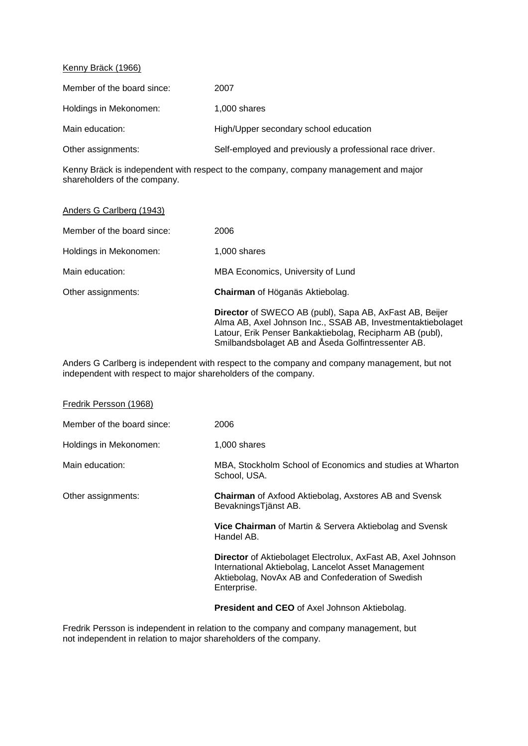# Kenny Bräck (1966)

| Member of the board since: | 2007                                                     |
|----------------------------|----------------------------------------------------------|
| Holdings in Mekonomen:     | 1,000 shares                                             |
| Main education:            | High/Upper secondary school education                    |
| Other assignments:         | Self-employed and previously a professional race driver. |

Kenny Bräck is independent with respect to the company, company management and major shareholders of the company.

| 2006                                                                                                                                                                                                                                            |
|-------------------------------------------------------------------------------------------------------------------------------------------------------------------------------------------------------------------------------------------------|
| 1,000 shares                                                                                                                                                                                                                                    |
| MBA Economics, University of Lund                                                                                                                                                                                                               |
| Chairman of Höganäs Aktiebolag.                                                                                                                                                                                                                 |
| <b>Director</b> of SWECO AB (publ), Sapa AB, AxFast AB, Beijer<br>Alma AB, Axel Johnson Inc., SSAB AB, Investmentaktiebolaget<br>Latour, Erik Penser Bankaktiebolag, Recipharm AB (publ),<br>Smilbandsbolaget AB and Åseda Golfintressenter AB. |
|                                                                                                                                                                                                                                                 |

Anders G Carlberg is independent with respect to the company and company management, but not independent with respect to major shareholders of the company.

| Fredrik Persson (1968)     |                                                                                                                                                                                                |
|----------------------------|------------------------------------------------------------------------------------------------------------------------------------------------------------------------------------------------|
| Member of the board since: | 2006                                                                                                                                                                                           |
| Holdings in Mekonomen:     | 1,000 shares                                                                                                                                                                                   |
| Main education:            | MBA, Stockholm School of Economics and studies at Wharton<br>School, USA.                                                                                                                      |
| Other assignments:         | <b>Chairman</b> of Axfood Aktiebolag, Axstores AB and Svensk<br>BevakningsTjänst AB.                                                                                                           |
|                            | <b>Vice Chairman</b> of Martin & Servera Aktiebolag and Svensk<br>Handel AB.                                                                                                                   |
|                            | <b>Director</b> of Aktiebolaget Electrolux, AxFast AB, Axel Johnson<br>International Aktiebolag, Lancelot Asset Management<br>Aktiebolag, NovAx AB and Confederation of Swedish<br>Enterprise. |

**President and CEO** of Axel Johnson Aktiebolag.

Fredrik Persson is independent in relation to the company and company management, but not independent in relation to major shareholders of the company.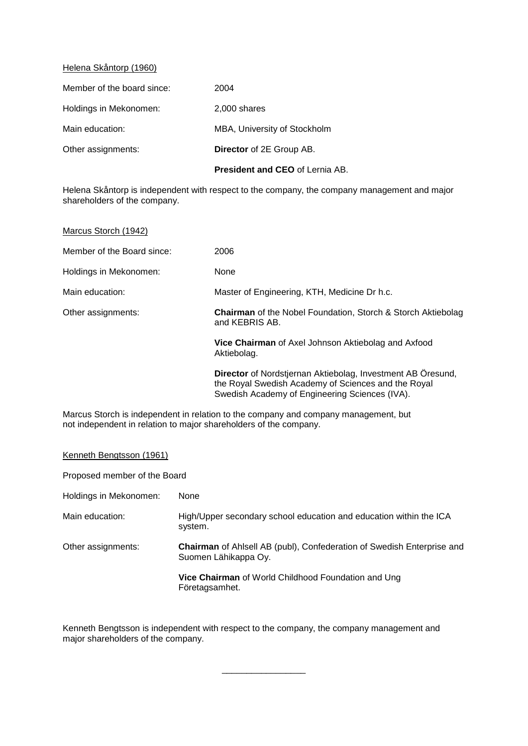# Helena Skåntorp (1960)

|                            | <b>President and CEO of Lernia AB.</b> |
|----------------------------|----------------------------------------|
| Other assignments:         | Director of 2E Group AB.               |
| Main education:            | MBA, University of Stockholm           |
| Holdings in Mekonomen:     | 2,000 shares                           |
| Member of the board since: | 2004                                   |

Helena Skåntorp is independent with respect to the company, the company management and major shareholders of the company.

| Marcus Storch (1942)       |                                                                                                                                                                      |
|----------------------------|----------------------------------------------------------------------------------------------------------------------------------------------------------------------|
| Member of the Board since: | 2006                                                                                                                                                                 |
| Holdings in Mekonomen:     | None                                                                                                                                                                 |
| Main education:            | Master of Engineering, KTH, Medicine Dr h.c.                                                                                                                         |
| Other assignments:         | <b>Chairman</b> of the Nobel Foundation, Storch & Storch Aktiebolag<br>and KEBRIS AB.                                                                                |
|                            | <b>Vice Chairman</b> of Axel Johnson Aktiebolag and Axfood<br>Aktiebolag.                                                                                            |
|                            | Director of Nordstjernan Aktiebolag, Investment AB Öresund,<br>the Royal Swedish Academy of Sciences and the Royal<br>Swedish Academy of Engineering Sciences (IVA). |
|                            | Marcus Storch is independent in relation to the company and company management but                                                                                   |

Marcus Storch is independent in relation to the company and company management, but not independent in relation to major shareholders of the company.

# Kenneth Bengtsson (1961)

| Proposed member of the Board |                                                                                                       |
|------------------------------|-------------------------------------------------------------------------------------------------------|
| Holdings in Mekonomen:       | None                                                                                                  |
| Main education:              | High/Upper secondary school education and education within the ICA<br>system.                         |
| Other assignments:           | <b>Chairman</b> of Ahlsell AB (publ), Confederation of Swedish Enterprise and<br>Suomen Lähikappa Oy. |
|                              | Vice Chairman of World Childhood Foundation and Ung<br>Företagsamhet.                                 |

Kenneth Bengtsson is independent with respect to the company, the company management and major shareholders of the company.

\_\_\_\_\_\_\_\_\_\_\_\_\_\_\_\_\_